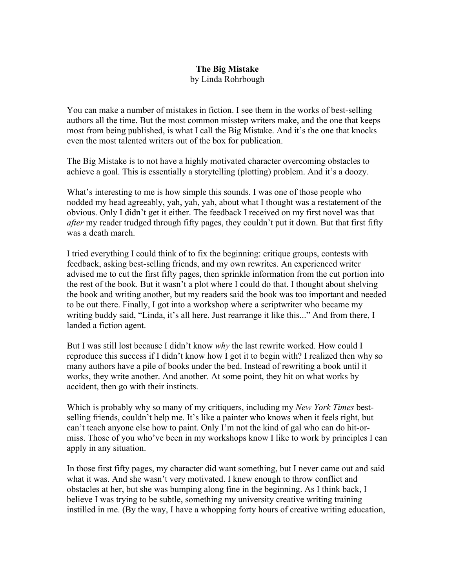## **The Big Mistake** by Linda Rohrbough

You can make a number of mistakes in fiction. I see them in the works of best-selling authors all the time. But the most common misstep writers make, and the one that keeps most from being published, is what I call the Big Mistake. And it's the one that knocks even the most talented writers out of the box for publication.

The Big Mistake is to not have a highly motivated character overcoming obstacles to achieve a goal. This is essentially a storytelling (plotting) problem. And it's a doozy.

What's interesting to me is how simple this sounds. I was one of those people who nodded my head agreeably, yah, yah, yah, about what I thought was a restatement of the obvious. Only I didn't get it either. The feedback I received on my first novel was that *after* my reader trudged through fifty pages, they couldn't put it down. But that first fifty was a death march.

I tried everything I could think of to fix the beginning: critique groups, contests with feedback, asking best-selling friends, and my own rewrites. An experienced writer advised me to cut the first fifty pages, then sprinkle information from the cut portion into the rest of the book. But it wasn't a plot where I could do that. I thought about shelving the book and writing another, but my readers said the book was too important and needed to be out there. Finally, I got into a workshop where a scriptwriter who became my writing buddy said, "Linda, it's all here. Just rearrange it like this..." And from there, I landed a fiction agent.

But I was still lost because I didn't know *why* the last rewrite worked. How could I reproduce this success if I didn't know how I got it to begin with? I realized then why so many authors have a pile of books under the bed. Instead of rewriting a book until it works, they write another. And another. At some point, they hit on what works by accident, then go with their instincts.

Which is probably why so many of my critiquers, including my *New York Times* bestselling friends, couldn't help me. It's like a painter who knows when it feels right, but can't teach anyone else how to paint. Only I'm not the kind of gal who can do hit-ormiss. Those of you who've been in my workshops know I like to work by principles I can apply in any situation.

In those first fifty pages, my character did want something, but I never came out and said what it was. And she wasn't very motivated. I knew enough to throw conflict and obstacles at her, but she was bumping along fine in the beginning. As I think back, I believe I was trying to be subtle, something my university creative writing training instilled in me. (By the way, I have a whopping forty hours of creative writing education,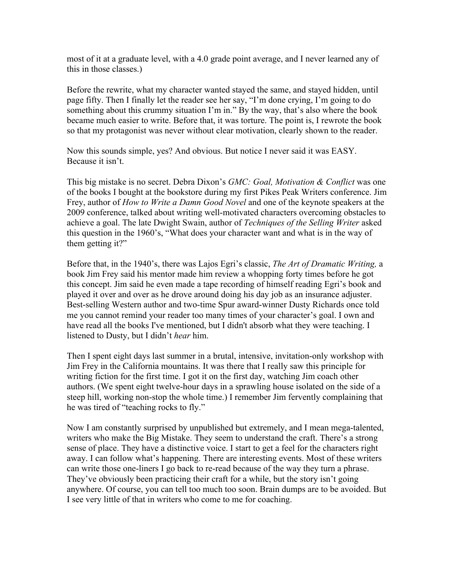most of it at a graduate level, with a 4.0 grade point average, and I never learned any of this in those classes.)

Before the rewrite, what my character wanted stayed the same, and stayed hidden, until page fifty. Then I finally let the reader see her say, "I'm done crying, I'm going to do something about this crummy situation I'm in." By the way, that's also where the book became much easier to write. Before that, it was torture. The point is, I rewrote the book so that my protagonist was never without clear motivation, clearly shown to the reader.

Now this sounds simple, yes? And obvious. But notice I never said it was EASY. Because it isn't.

This big mistake is no secret. Debra Dixon's *GMC: Goal, Motivation & Conflict* was one of the books I bought at the bookstore during my first Pikes Peak Writers conference. Jim Frey, author of *How to Write a Damn Good Novel* and one of the keynote speakers at the 2009 conference, talked about writing well-motivated characters overcoming obstacles to achieve a goal. The late Dwight Swain, author of *Techniques of the Selling Writer* asked this question in the 1960's, "What does your character want and what is in the way of them getting it?"

Before that, in the 1940's, there was Lajos Egri's classic, *The Art of Dramatic Writing,* a book Jim Frey said his mentor made him review a whopping forty times before he got this concept. Jim said he even made a tape recording of himself reading Egri's book and played it over and over as he drove around doing his day job as an insurance adjuster. Best-selling Western author and two-time Spur award-winner Dusty Richards once told me you cannot remind your reader too many times of your character's goal. I own and have read all the books I've mentioned, but I didn't absorb what they were teaching. I listened to Dusty, but I didn't *hear* him.

Then I spent eight days last summer in a brutal, intensive, invitation-only workshop with Jim Frey in the California mountains. It was there that I really saw this principle for writing fiction for the first time. I got it on the first day, watching Jim coach other authors. (We spent eight twelve-hour days in a sprawling house isolated on the side of a steep hill, working non-stop the whole time.) I remember Jim fervently complaining that he was tired of "teaching rocks to fly."

Now I am constantly surprised by unpublished but extremely, and I mean mega-talented, writers who make the Big Mistake. They seem to understand the craft. There's a strong sense of place. They have a distinctive voice. I start to get a feel for the characters right away. I can follow what's happening. There are interesting events. Most of these writers can write those one-liners I go back to re-read because of the way they turn a phrase. They've obviously been practicing their craft for a while, but the story isn't going anywhere. Of course, you can tell too much too soon. Brain dumps are to be avoided. But I see very little of that in writers who come to me for coaching.